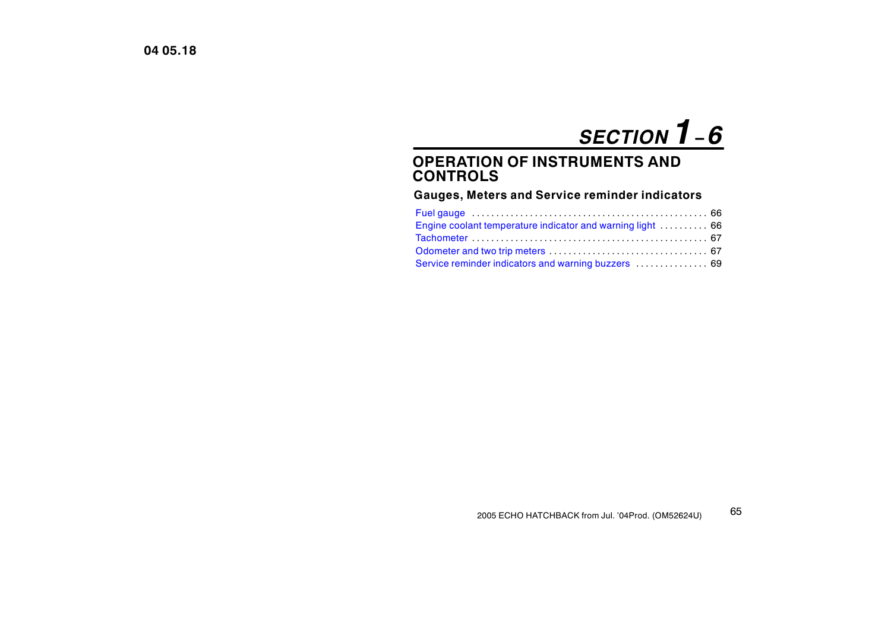# *SECTION 1<sup>−</sup> 6*

# **OPERATION OF INSTRUMENTS AND CONTROLS**

# **Gauges, Meters and Service reminder indicators**

| Engine coolant temperature indicator and warning light  66 |  |
|------------------------------------------------------------|--|
|                                                            |  |
|                                                            |  |
| Service reminder indicators and warning buzzers  69        |  |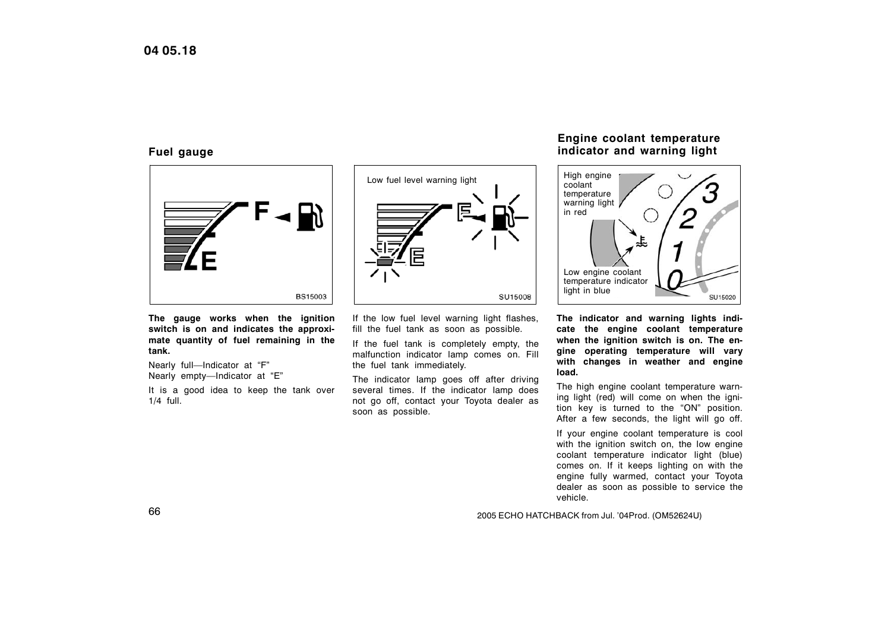## <span id="page-1-0"></span>**Fuel gauge**



**The gauge works when the ignition switch is on and indicates the approximate quantity of fuel remaining in the tank.**

Nearly full—Indicator at "F" Nearly empty—Indicator at "E"

It is a good idea to keep the tank over 1/4 full.

Low fuel level warning light **SU15008** SU15008

If the low fuel level warning light flashes, fill the fuel tank as soon as possible.

If the fuel tank is completely empty, the malfunction indicator lamp comes on. Fill the fuel tank immediately.

The indicator lamp goes off after driving several times. If the indicator lamp does not go off, contact your Toyota dealer as soon as possible.

# **Engine coolant temperature indicator and warning light**



**The indicator and warning lights indicate the engine coolant temperature when the ignition switch is on. The engine operating temperature will vary with changes in weather and engine load.**

The high engine coolant temperature warning light (red) will come on when the ignition key is turned to the "ON" position. After a few seconds, the light will go off.

If your engine coolant temperature is cool with the ignition switch on, the low engine coolant temperature indicator light (blue) comes on. If it keeps lighting on with the engine fully warmed, contact your Toyota dealer as soon as possible to service the vehicle.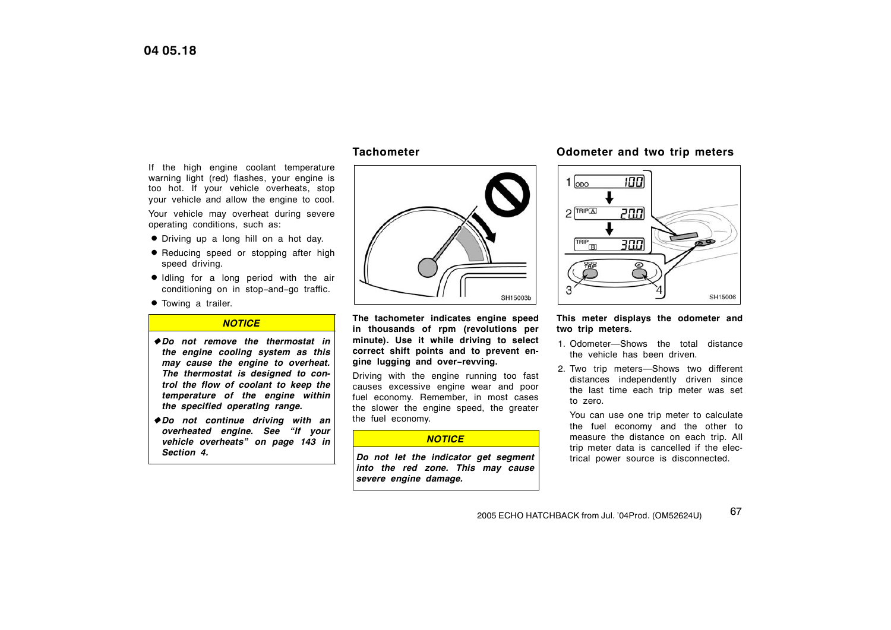<span id="page-2-0"></span>If the high engine coolant temperature warning light (red) flashes, your engine is too hot. If your vehicle overheats, stop your vehicle and allow the engine to cool. Your vehicle may overheat during severe operating conditions, such as:

- Driving up a long hill on a hot day.
- **•** Reducing speed or stopping after high speed driving.
- Idling for a long period with the air conditioning on in stop−and−go traffic.
- **•** Towing a trailer.

#### *NOTICE*

 *Do not remove the thermostat in the engine cooling system as this may cause the engine to overheat. The thermostat is designed to control the flow of coolant to keep the temperature of the engine within the specified operating range.*

 *Do not continue driving with an overheated engine. See "If your vehicle overheats" on page [143](#page-4-0) in Section 4.*

#### **Tachometer**



**The tachometer indicates engine speed in thousands of rpm (revolutions per minute). Use it while driving to select correct shift points and to prevent engine lugging and over−revving.**

Driving with the engine running too fast causes excessive engine wear and poor fuel economy. Remember, in most cases the slower the engine speed, the greater the fuel economy.

#### *NOTICE*

*Do not let the indicator get segment into the red zone. This may cause severe engine damage.*

#### **Odometer and two trip meters**



#### **This meter displays the odometer and two trip meters.**

- 1. Odometer—Shows the total distance the vehicle has been driven.
- 2. Two trip meters—Shows two different distances independently driven since the last time each trip meter was set to zero.

You can use one trip meter to calculate the fuel economy and the other to measure the distance on each trip. All trip meter data is cancelled if the electrical power source is disconnected.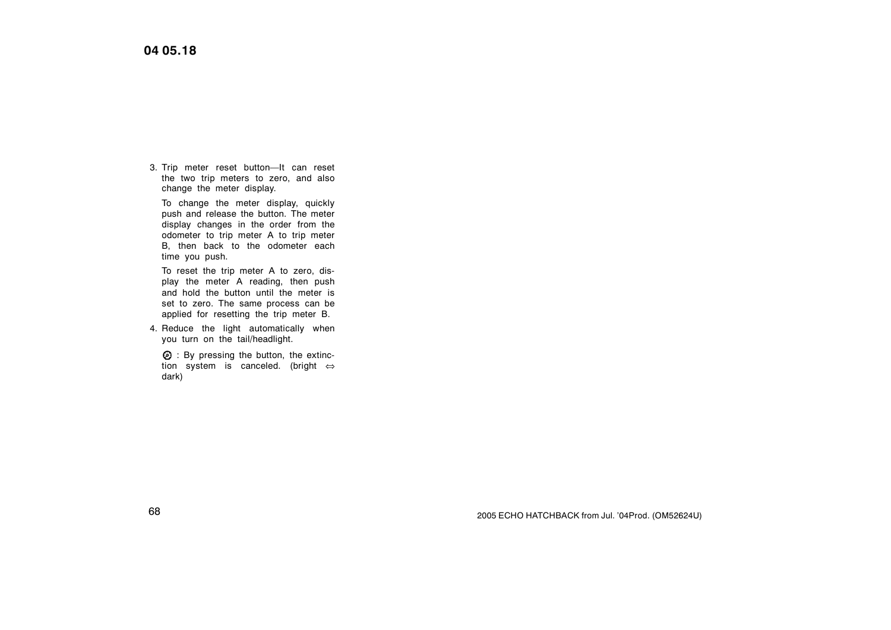3. Trip meter reset button—It can reset the two trip meters to zero, and also change the meter display.

To change the meter display, quickly push and release the button. The meter display changes in the order from the odometer to trip meter A to trip meter B, then back to the odometer each time you push.

To reset the trip meter A to zero, display the meter A reading, then push and hold the button until the meter is set to zero. The same process can be applied for resetting the trip meter B.

4. Reduce the light automatically when you turn on the tail/headlight.

 $<sup>②</sup>$  : By pressing the button, the extinc-</sup> tion system is canceled. (bright ⇔ dark)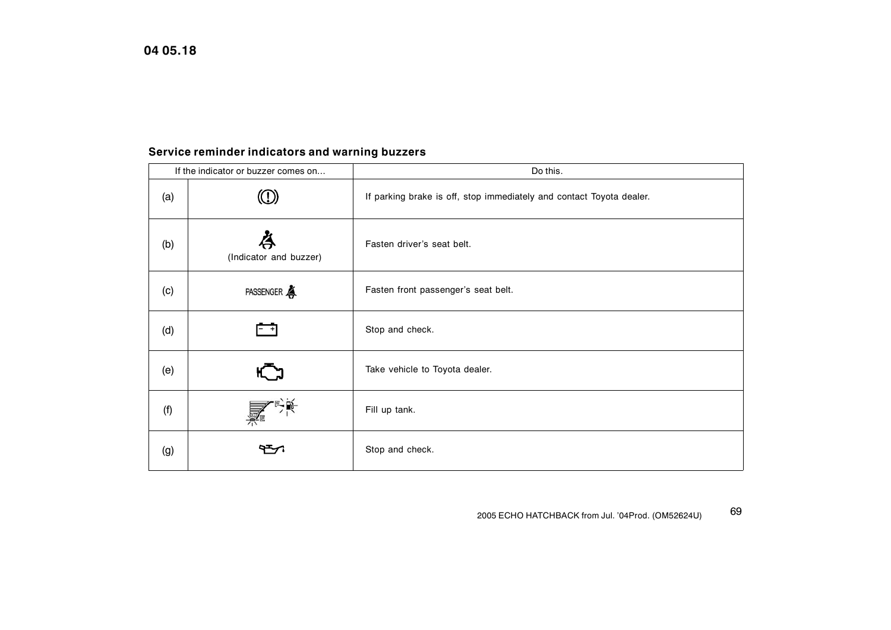# <span id="page-4-0"></span>**Service reminder indicators and warning buzzers**

| If the indicator or buzzer comes on |                        | Do this.                                                             |
|-------------------------------------|------------------------|----------------------------------------------------------------------|
| (a)                                 |                        | If parking brake is off, stop immediately and contact Toyota dealer. |
| (b)                                 | (Indicator and buzzer) | Fasten driver's seat belt.                                           |
| (c)                                 | PASSENGER              | Fasten front passenger's seat belt.                                  |
| (d)                                 | - +1                   | Stop and check.                                                      |
| (e)                                 | ĸ                      | Take vehicle to Toyota dealer.                                       |
| (f)                                 |                        | Fill up tank.                                                        |
| (g)                                 |                        | Stop and check.                                                      |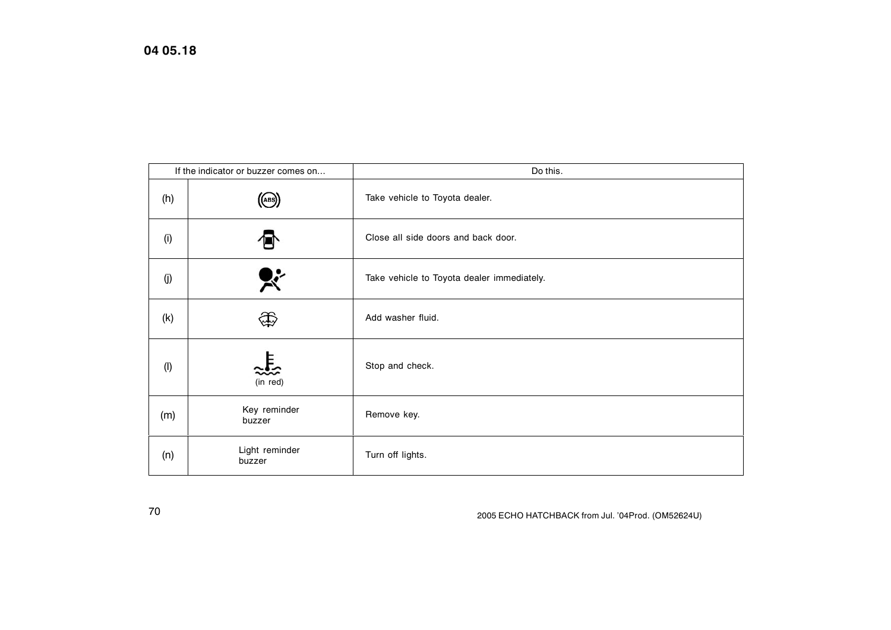**04 05.18**

| If the indicator or buzzer comes on |                            | Do this.                                   |
|-------------------------------------|----------------------------|--------------------------------------------|
| (h)                                 | $(\mathsf{(\mathsf{AB})})$ | Take vehicle to Toyota dealer.             |
| (i)                                 |                            | Close all side doors and back door.        |
| (j)                                 | $\mathbf{x}$               | Take vehicle to Toyota dealer immediately. |
| (k)                                 | \$                         | Add washer fluid.                          |
| $($ l $)$                           | (in red)                   | Stop and check.                            |
| (m)                                 | Key reminder<br>buzzer     | Remove key.                                |
| (n)                                 | Light reminder<br>buzzer   | Turn off lights.                           |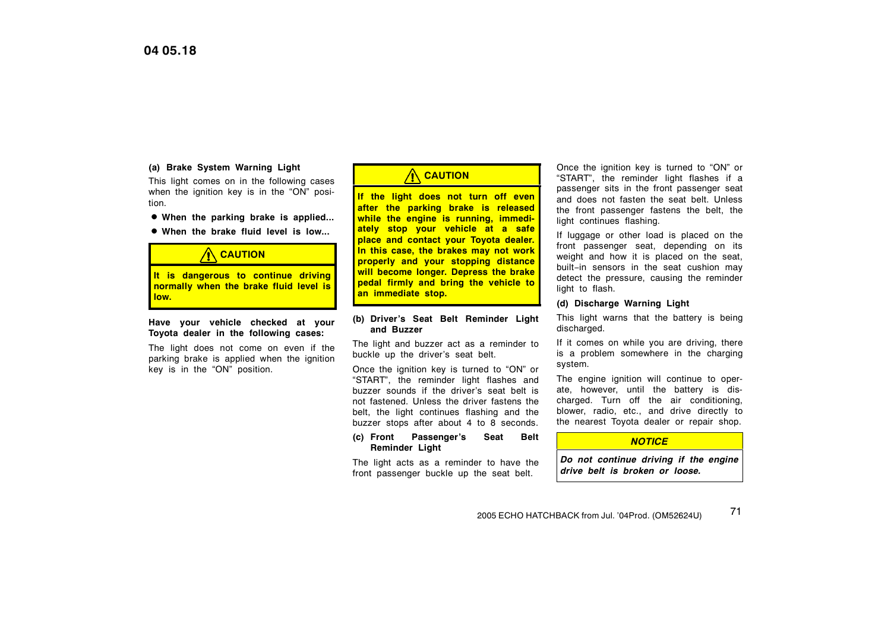#### **(a) Brake System Warning Light**

This light comes on in the following cases when the ignition key is in the "ON" position.

- **When the parking brake is applied...**
- **When the brake fluid level is low...**

# **A** CAUTION

**It is dangerous to continue driving normally when the brake fluid level is low.**

#### **Have your vehicle checked at your Toyota dealer in the following cases:**

The light does not come on even if the parking brake is applied when the ignition key is in the "ON" position.

# **CAUTION**

**If the light does not turn off even after the parking brake is released while the engine is running, immediately stop your vehicle at a safe place and contact your Toyota dealer. In this case, the brakes may not work properly and your stopping distance will become longer. Depress the brake pedal firmly and bring the vehicle to an immediate stop.**

#### **(b) Driver's Seat Belt Reminder Light and Buzzer**

The light and buzzer act as a reminder to buckle up the driver's seat belt.

Once the ignition key is turned to "ON" or "START", the reminder light flashes and buzzer sounds if the driver's seat belt is not fastened. Unless the driver fastens the belt, the light continues flashing and the buzzer stops after about 4 to 8 seconds.

#### **(c) Front Passenger's Seat Belt Reminder Light**

The light acts as a reminder to have the front passenger buckle up the seat belt.

Once the ignition key is turned to "ON" or "START", the reminder light flashes if a passenger sits in the front passenger seat and does not fasten the seat belt. Unless the front passenger fastens the belt, the light continues flashing.

If luggage or other load is placed on the front passenger seat, depending on its weight and how it is placed on the seat, built−in sensors in the seat cushion may detect the pressure, causing the reminder light to flash.

#### **(d) Discharge Warning Light**

This light warns that the battery is being discharged.

If it comes on while you are driving, there is a problem somewhere in the charging system.

The engine ignition will continue to operate, however, until the battery is discharged. Turn off the air conditioning, blower, radio, etc., and drive directly to the nearest Toyota dealer or repair shop.

#### *NOTICE*

*Do not continue driving if the engine drive belt is broken or loose.*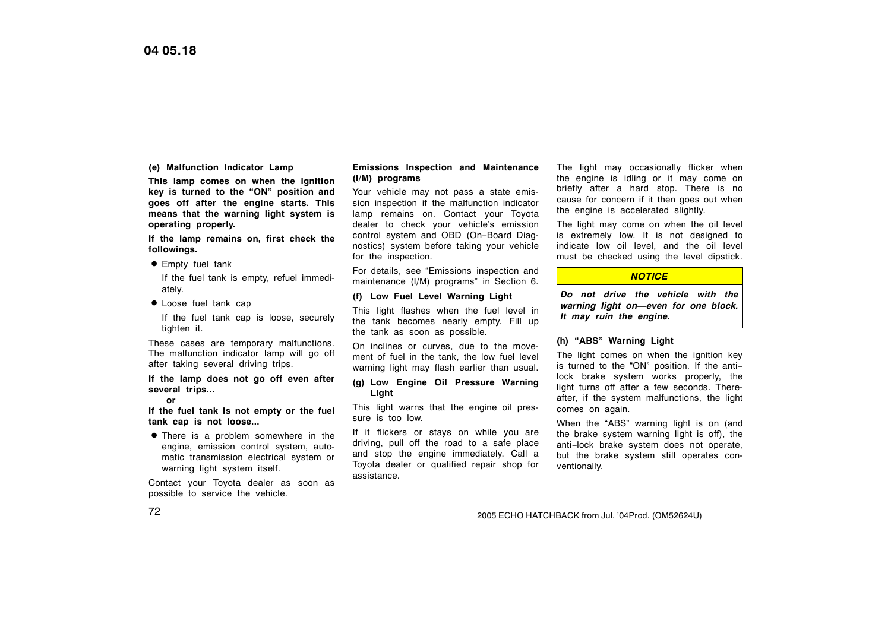#### **(e) Malfunction Indicator Lamp**

**This lamp comes on when the ignition key is turned to the "ON" position and goes off after the engine starts. This means that the warning light system is operating properly.**

**If the lamp remains on, first check the followings.**

**Empty fuel tank** 

If the fuel tank is empty, refuel immediately.

Loose fuel tank cap

If the fuel tank cap is loose, securely tighten it.

These cases are temporary malfunctions. The malfunction indicator lamp will go off after taking several driving trips.

**If the lamp does not go off even after several trips...**

**or**

**If the fuel tank is not empty or the fuel tank cap is not loose...**

**•** There is a problem somewhere in the engine, emission control system, automatic transmission electrical system or warning light system itself.

Contact your Toyota dealer as soon as possible to service the vehicle.

#### **Emissions Inspection and Maintenance (I/M) programs**

Your vehicle may not pass a state emission inspection if the malfunction indicator lamp remains on. Contact your Toyota dealer to check your vehicle's emission control system and OBD (On−Board Diagnostics) system before taking your vehicle for the inspection.

For details, see "Emissions inspection and maintenance (I/M) programs" in Section 6.

### **(f) Low Fuel Level Warning Light**

This light flashes when the fuel level in the tank becomes nearly empty. Fill up the tank as soon as possible.

On inclines or curves, due to the movement of fuel in the tank, the low fuel level warning light may flash earlier than usual.

**(g) Low Engine Oil Pressure Warning Light**

This light warns that the engine oil pressure is too low.

If it flickers or stays on while you are driving, pull off the road to a safe place and stop the engine immediately. Call a Toyota dealer or qualified repair shop for assistance.

The light may occasionally flicker when the engine is idling or it may come on briefly after a hard stop. There is no cause for concern if it then goes out when the engine is accelerated slightly.

The light may come on when the oil level is extremely low. It is not designed to indicate low oil level, and the oil level must be checked using the level dipstick.

#### *NOTICE*

*Do not drive the vehicle with the warning light on—even for one block. It may ruin the engine.*

#### **(h) "ABS" Warning Light**

The light comes on when the ignition key is turned to the "ON" position. If the anti− lock brake system works properly, the light turns off after a few seconds. Thereafter, if the system malfunctions, the light comes on again.

When the "ABS" warning light is on (and the brake system warning light is off), the anti−lock brake system does not operate, but the brake system still operates conventionally.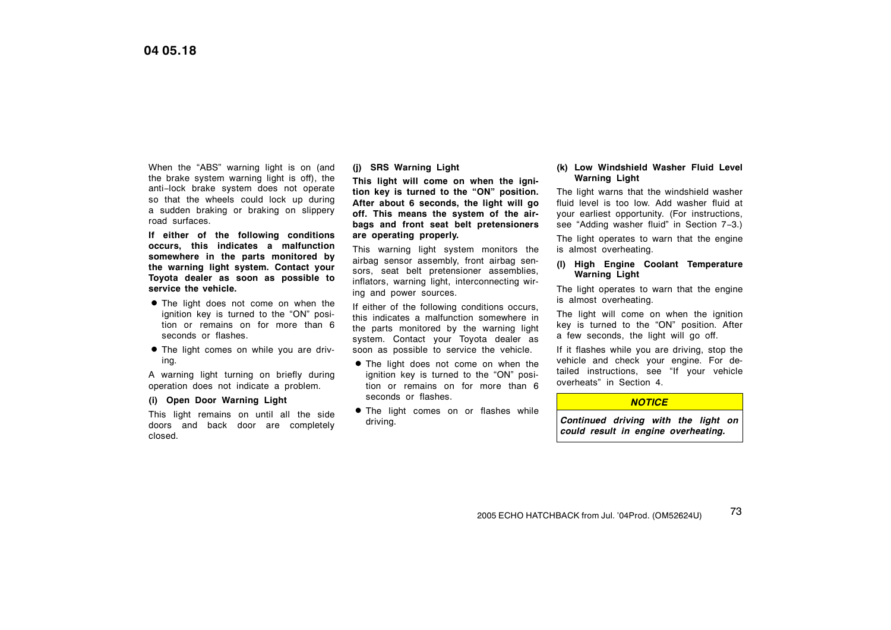When the "ABS" warning light is on (and the brake system warning light is off), the anti−lock brake system does not operate so that the wheels could lock up during a sudden braking or braking on slippery road surfaces.

**If either of the following conditions occurs, this indicates a malfunction somewhere in the parts monitored by the warning light system. Contact your Toyota dealer as soon as possible to service the vehicle.**

- The light does not come on when the ignition key is turned to the "ON" position or remains on for more than 6 seconds or flashes.
- The light comes on while you are driving.

A warning light turning on briefly during operation does not indicate a problem.

#### **(i) Open Door Warning Light**

This light remains on until all the side doors and back door are completely closed.

#### **(j) SRS Warning Light**

**This light will come on when the ignition key is turned to the "ON" position. After about 6 seconds, the light will go off. This means the system of the airbags and front seat belt pretensioners are operating properly.**

This warning light system monitors the airbag sensor assembly, front airbag sensors, seat belt pretensioner assemblies, inflators, warning light, interconnecting wiring and power sources.

If either of the following conditions occurs, this indicates a malfunction somewhere in the parts monitored by the warning light system. Contact your Toyota dealer as soon as possible to service the vehicle.

- The light does not come on when the ignition key is turned to the "ON" position or remains on for more than 6 seconds or flashes.
- **•** The light comes on or flashes while driving.

#### **(k) Low Windshield Washer Fluid Level Warning Light**

The light warns that the windshield washer fluid level is too low. Add washer fluid at your earliest opportunity. (For instructions, see "Adding washer fluid" in Section 7−3.)

The light operates to warn that the engine is almost overheating.

#### **(l) High Engine Coolant Temperature Warning Light**

The light operates to warn that the engine is almost overheating.

The light will come on when the ignition key is turned to the "ON" position. After a few seconds, the light will go off.

If it flashes while you are driving, stop the vehicle and check your engine. For detailed instructions, see "If your vehicle overheats" in Section 4.

#### *NOTICE*

*Continued driving with the light on could result in engine overheating.*